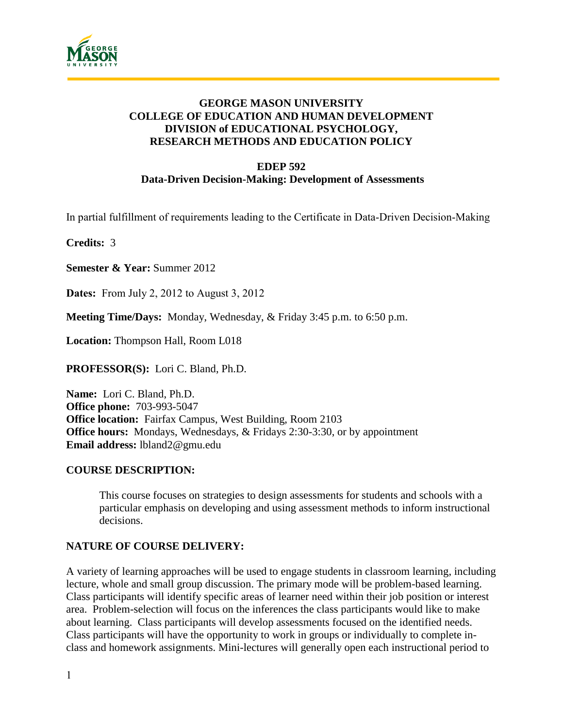

# **GEORGE MASON UNIVERSITY COLLEGE OF EDUCATION AND HUMAN DEVELOPMENT DIVISION of EDUCATIONAL PSYCHOLOGY, RESEARCH METHODS AND EDUCATION POLICY**

# **EDEP 592 Data-Driven Decision-Making: Development of Assessments**

In partial fulfillment of requirements leading to the Certificate in Data-Driven Decision-Making

**Credits:** 3

**Semester & Year:** Summer 2012

**Dates:** From July 2, 2012 to August 3, 2012

**Meeting Time/Days:** Monday, Wednesday, & Friday 3:45 p.m. to 6:50 p.m.

**Location:** Thompson Hall, Room L018

**PROFESSOR(S):** Lori C. Bland, Ph.D.

**Name:** Lori C. Bland, Ph.D. **Office phone:** 703-993-5047 **Office location:** Fairfax Campus, West Building, Room 2103 **Office hours:** Mondays, Wednesdays, & Fridays 2:30-3:30, or by appointment **Email address:** lbland2@gmu.edu

#### **COURSE DESCRIPTION:**

This course focuses on strategies to design assessments for students and schools with a particular emphasis on developing and using assessment methods to inform instructional decisions.

#### **NATURE OF COURSE DELIVERY:**

A variety of learning approaches will be used to engage students in classroom learning, including lecture, whole and small group discussion. The primary mode will be problem-based learning. Class participants will identify specific areas of learner need within their job position or interest area. Problem-selection will focus on the inferences the class participants would like to make about learning. Class participants will develop assessments focused on the identified needs. Class participants will have the opportunity to work in groups or individually to complete inclass and homework assignments. Mini-lectures will generally open each instructional period to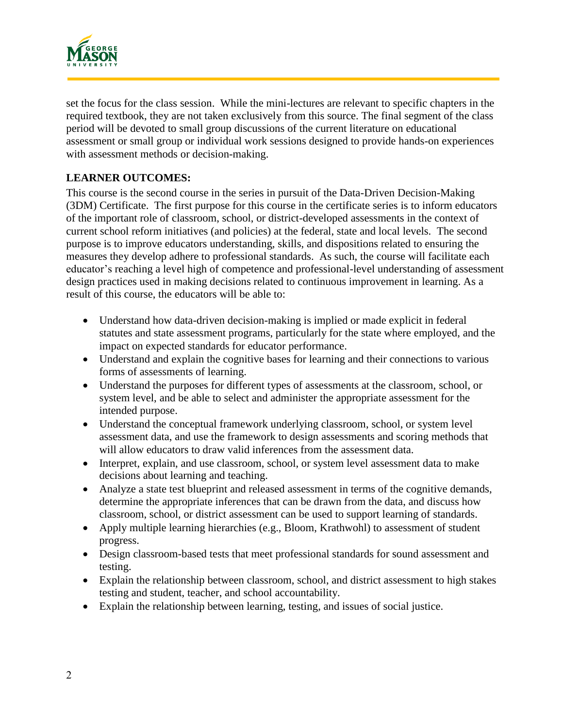

set the focus for the class session. While the mini-lectures are relevant to specific chapters in the required textbook, they are not taken exclusively from this source. The final segment of the class period will be devoted to small group discussions of the current literature on educational assessment or small group or individual work sessions designed to provide hands-on experiences with assessment methods or decision-making.

# **LEARNER OUTCOMES:**

This course is the second course in the series in pursuit of the Data-Driven Decision-Making (3DM) Certificate. The first purpose for this course in the certificate series is to inform educators of the important role of classroom, school, or district-developed assessments in the context of current school reform initiatives (and policies) at the federal, state and local levels. The second purpose is to improve educators understanding, skills, and dispositions related to ensuring the measures they develop adhere to professional standards. As such, the course will facilitate each educator's reaching a level high of competence and professional-level understanding of assessment design practices used in making decisions related to continuous improvement in learning. As a result of this course, the educators will be able to:

- Understand how data-driven decision-making is implied or made explicit in federal statutes and state assessment programs, particularly for the state where employed, and the impact on expected standards for educator performance.
- Understand and explain the cognitive bases for learning and their connections to various forms of assessments of learning.
- Understand the purposes for different types of assessments at the classroom, school, or system level, and be able to select and administer the appropriate assessment for the intended purpose.
- Understand the conceptual framework underlying classroom, school, or system level assessment data, and use the framework to design assessments and scoring methods that will allow educators to draw valid inferences from the assessment data.
- Interpret, explain, and use classroom, school, or system level assessment data to make decisions about learning and teaching.
- Analyze a state test blueprint and released assessment in terms of the cognitive demands, determine the appropriate inferences that can be drawn from the data, and discuss how classroom, school, or district assessment can be used to support learning of standards.
- Apply multiple learning hierarchies (e.g., Bloom, Krathwohl) to assessment of student progress.
- Design classroom-based tests that meet professional standards for sound assessment and testing.
- Explain the relationship between classroom, school, and district assessment to high stakes testing and student, teacher, and school accountability.
- Explain the relationship between learning, testing, and issues of social justice.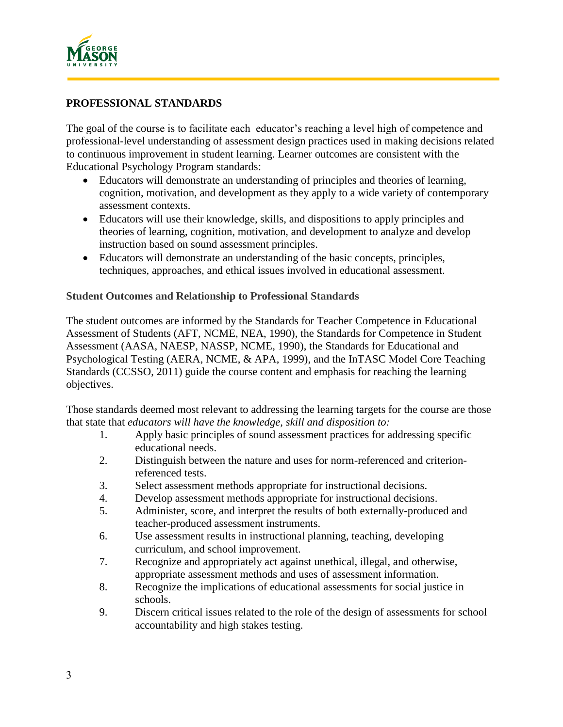

# **PROFESSIONAL STANDARDS**

The goal of the course is to facilitate each educator's reaching a level high of competence and professional-level understanding of assessment design practices used in making decisions related to continuous improvement in student learning. Learner outcomes are consistent with the Educational Psychology Program standards:

- Educators will demonstrate an understanding of principles and theories of learning, cognition, motivation, and development as they apply to a wide variety of contemporary assessment contexts.
- Educators will use their knowledge, skills, and dispositions to apply principles and theories of learning, cognition, motivation, and development to analyze and develop instruction based on sound assessment principles.
- Educators will demonstrate an understanding of the basic concepts, principles, techniques, approaches, and ethical issues involved in educational assessment.

#### **Student Outcomes and Relationship to Professional Standards**

The student outcomes are informed by the Standards for Teacher Competence in Educational Assessment of Students (AFT, NCME, NEA, 1990), the Standards for Competence in Student Assessment (AASA, NAESP, NASSP, NCME, 1990), the Standards for Educational and Psychological Testing (AERA, NCME, & APA, 1999), and the InTASC Model Core Teaching Standards (CCSSO, 2011) guide the course content and emphasis for reaching the learning objectives.

Those standards deemed most relevant to addressing the learning targets for the course are those that state that *educators will have the knowledge, skill and disposition to:*

- 1. Apply basic principles of sound assessment practices for addressing specific educational needs.
- 2. Distinguish between the nature and uses for norm-referenced and criterionreferenced tests.
- 3. Select assessment methods appropriate for instructional decisions.
- 4. Develop assessment methods appropriate for instructional decisions.
- 5. Administer, score, and interpret the results of both externally-produced and teacher-produced assessment instruments.
- 6. Use assessment results in instructional planning, teaching, developing curriculum, and school improvement.
- 7. Recognize and appropriately act against unethical, illegal, and otherwise, appropriate assessment methods and uses of assessment information.
- 8. Recognize the implications of educational assessments for social justice in schools.
- 9. Discern critical issues related to the role of the design of assessments for school accountability and high stakes testing.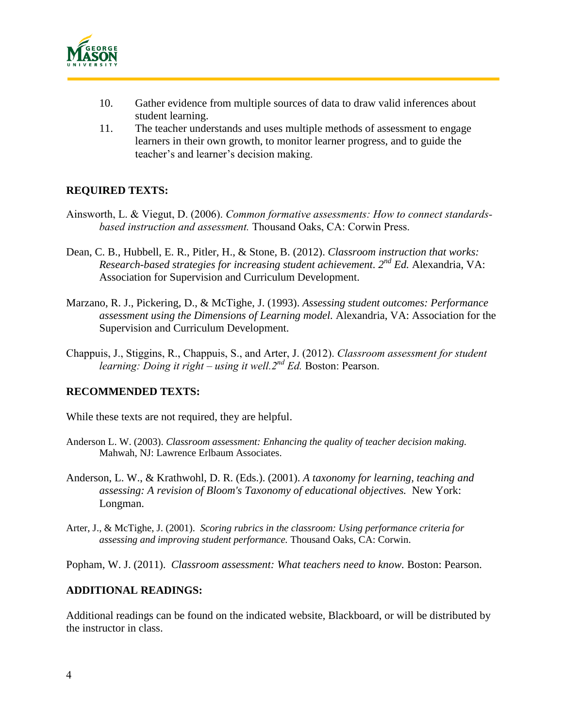

- 10. Gather evidence from multiple sources of data to draw valid inferences about student learning.
- 11. The teacher understands and uses multiple methods of assessment to engage learners in their own growth, to monitor learner progress, and to guide the teacher's and learner's decision making.

# **REQUIRED TEXTS:**

- Ainsworth, L. & Viegut, D. (2006). *Common formative assessments: How to connect standardsbased instruction and assessment.* Thousand Oaks, CA: Corwin Press.
- Dean, C. B., Hubbell, E. R., Pitler, H., & Stone, B. (2012). *Classroom instruction that works: Research-based strategies for increasing student achievement. 2nd Ed.* Alexandria, VA: Association for Supervision and Curriculum Development.
- Marzano, R. J., Pickering, D., & McTighe, J. (1993). *Assessing student outcomes: Performance assessment using the Dimensions of Learning model.* Alexandria, VA: Association for the Supervision and Curriculum Development.
- Chappuis, J., Stiggins, R., Chappuis, S., and Arter, J. (2012). *Classroom assessment for student learning: Doing it right – using it well.2 nd Ed.* Boston: Pearson.

#### **RECOMMENDED TEXTS:**

While these texts are not required, they are helpful.

- Anderson L. W. (2003). *Classroom assessment: Enhancing the quality of teacher decision making.*  Mahwah, NJ: Lawrence Erlbaum Associates.
- Anderson, L. W., & Krathwohl, D. R. (Eds.). (2001). *A taxonomy for learning, teaching and assessing: A revision of Bloom's Taxonomy of educational objectives.* New York: Longman.
- Arter, J., & McTighe, J. (2001). *Scoring rubrics in the classroom: Using performance criteria for assessing and improving student performance.* Thousand Oaks, CA: Corwin.

Popham, W. J. (2011). *Classroom assessment: What teachers need to know.* Boston: Pearson.

#### **ADDITIONAL READINGS:**

Additional readings can be found on the indicated website, Blackboard, or will be distributed by the instructor in class.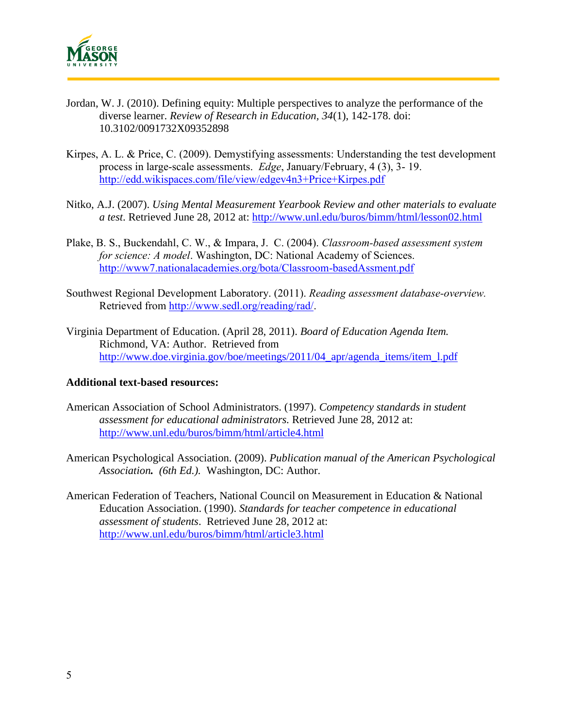

- Jordan, W. J. (2010). Defining equity: Multiple perspectives to analyze the performance of the diverse learner. *Review of Research in Education, 34*(1), 142-178. doi: 10.3102/0091732X09352898
- Kirpes, A. L. & Price, C. (2009). Demystifying assessments: Understanding the test development process in large-scale assessments. *Edge*, January/February, 4 (3), 3- 19. <http://edd.wikispaces.com/file/view/edgev4n3+Price+Kirpes.pdf>
- Nitko, A.J. (2007). *Using Mental Measurement Yearbook Review and other materials to evaluate a test*. Retrieved June 28, 2012 at:<http://www.unl.edu/buros/bimm/html/lesson02.html>
- Plake, B. S., Buckendahl, C. W., & Impara, J. C. (2004). *Classroom-based assessment system for science: A model*. Washington, DC: National Academy of Sciences. <http://www7.nationalacademies.org/bota/Classroom-basedAssment.pdf>
- Southwest Regional Development Laboratory. (2011). *Reading assessment database-overview.* Retrieved from [http://www.sedl.org/reading/rad/.](http://www.sedl.org/reading/rad/)
- Virginia Department of Education. (April 28, 2011). *Board of Education Agenda Item.*  Richmond, VA: Author. Retrieved from [http://www.doe.virginia.gov/boe/meetings/2011/04\\_apr/agenda\\_items/item\\_l.pdf](http://www.doe.virginia.gov/boe/meetings/2011/04_apr/agenda_items/item_l.pdf)

#### **Additional text-based resources:**

- American Association of School Administrators. (1997). *Competency standards in student assessment for educational administrators.* Retrieved June 28, 2012 at: <http://www.unl.edu/buros/bimm/html/article4.html>
- American Psychological Association. (2009). *Publication manual of the American Psychological Association. (6th Ed.).* Washington, DC: Author.
- American Federation of Teachers, National Council on Measurement in Education & National Education Association. (1990). *Standards for teacher competence in educational assessment of students*. Retrieved June 28, 2012 at: <http://www.unl.edu/buros/bimm/html/article3.html>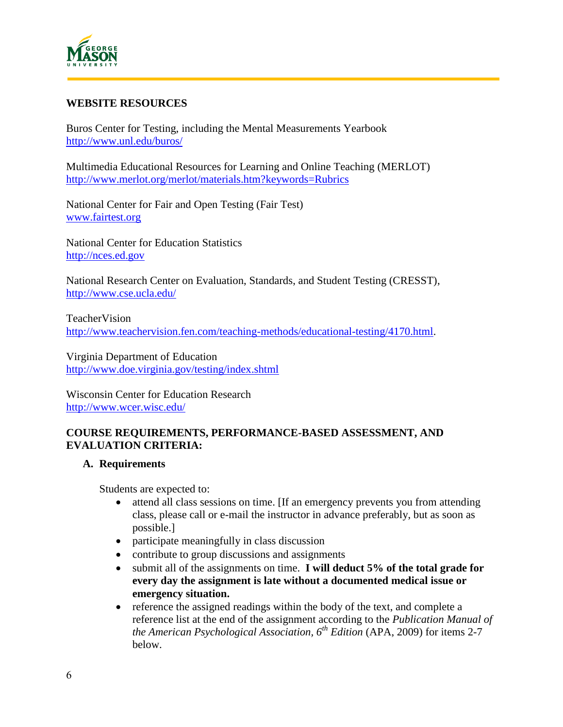

# **WEBSITE RESOURCES**

Buros Center for Testing, including the Mental Measurements Yearbook <http://www.unl.edu/buros/>

Multimedia Educational Resources for Learning and Online Teaching (MERLOT) <http://www.merlot.org/merlot/materials.htm?keywords=Rubrics>

National Center for Fair and Open Testing (Fair Test) [www.fairtest.org](http://www.fairtest.org/)

National Center for Education Statistics [http://nces.ed.gov](http://nces.ed.gov/)

National Research Center on Evaluation, Standards, and Student Testing (CRESST), <http://www.cse.ucla.edu/>

TeacherVision [http://www.teachervision.fen.com/teaching-methods/educational-testing/4170.html.](http://www.teachervision.fen.com/teaching-methods/educational-testing/4170.html)

Virginia Department of Education <http://www.doe.virginia.gov/testing/index.shtml>

Wisconsin Center for Education Research <http://www.wcer.wisc.edu/>

# **COURSE REQUIREMENTS, PERFORMANCE-BASED ASSESSMENT, AND EVALUATION CRITERIA:**

#### **A. Requirements**

Students are expected to:

- attend all class sessions on time. [If an emergency prevents you from attending class, please call or e-mail the instructor in advance preferably, but as soon as possible.]
- participate meaningfully in class discussion
- contribute to group discussions and assignments
- submit all of the assignments on time. **I will deduct 5% of the total grade for every day the assignment is late without a documented medical issue or emergency situation.**
- reference the assigned readings within the body of the text, and complete a reference list at the end of the assignment according to the *Publication Manual of the American Psychological Association, 6th Edition* (APA, 2009) for items 2-7 below.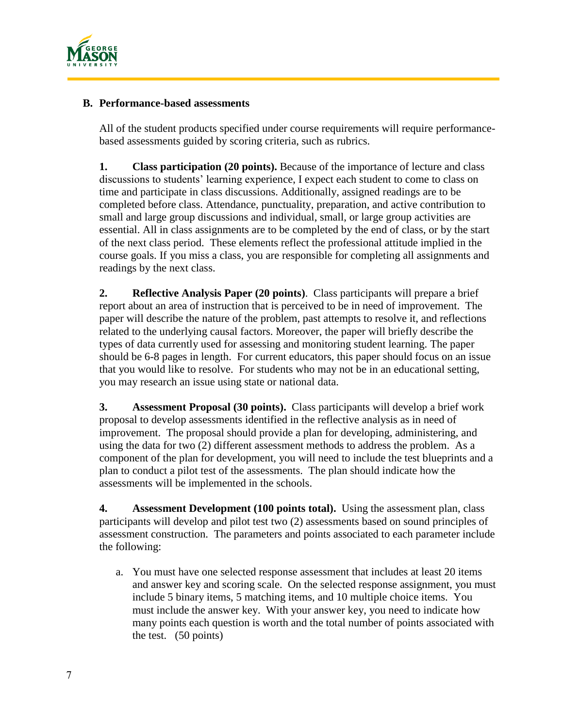

## **B. Performance-based assessments**

All of the student products specified under course requirements will require performancebased assessments guided by scoring criteria, such as rubrics.

**1. Class participation (20 points).** Because of the importance of lecture and class discussions to students' learning experience, I expect each student to come to class on time and participate in class discussions. Additionally, assigned readings are to be completed before class. Attendance, punctuality, preparation, and active contribution to small and large group discussions and individual, small, or large group activities are essential. All in class assignments are to be completed by the end of class, or by the start of the next class period. These elements reflect the professional attitude implied in the course goals. If you miss a class, you are responsible for completing all assignments and readings by the next class.

**2. Reflective Analysis Paper (20 points)**. Class participants will prepare a brief report about an area of instruction that is perceived to be in need of improvement. The paper will describe the nature of the problem, past attempts to resolve it, and reflections related to the underlying causal factors. Moreover, the paper will briefly describe the types of data currently used for assessing and monitoring student learning. The paper should be 6-8 pages in length. For current educators, this paper should focus on an issue that you would like to resolve. For students who may not be in an educational setting, you may research an issue using state or national data.

**3. Assessment Proposal (30 points).** Class participants will develop a brief work proposal to develop assessments identified in the reflective analysis as in need of improvement. The proposal should provide a plan for developing, administering, and using the data for two (2) different assessment methods to address the problem. As a component of the plan for development, you will need to include the test blueprints and a plan to conduct a pilot test of the assessments. The plan should indicate how the assessments will be implemented in the schools.

**4. Assessment Development (100 points total).** Using the assessment plan, class participants will develop and pilot test two (2) assessments based on sound principles of assessment construction. The parameters and points associated to each parameter include the following:

a. You must have one selected response assessment that includes at least 20 items and answer key and scoring scale. On the selected response assignment, you must include 5 binary items, 5 matching items, and 10 multiple choice items. You must include the answer key. With your answer key, you need to indicate how many points each question is worth and the total number of points associated with the test. (50 points)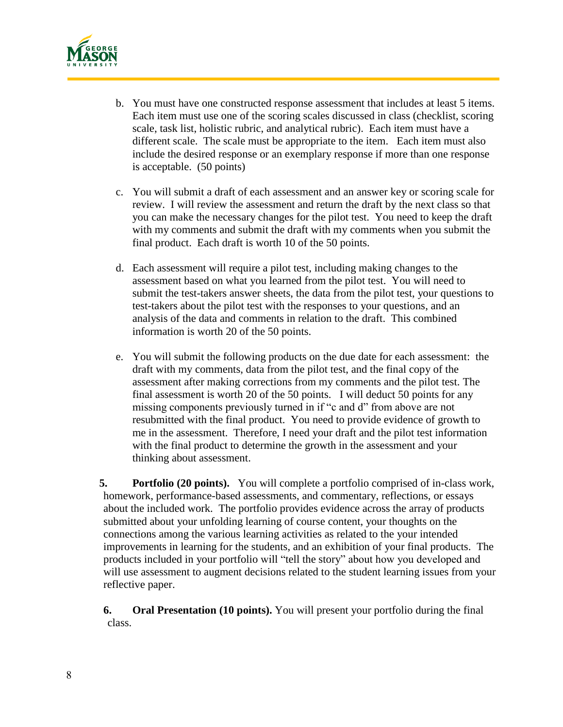

- b. You must have one constructed response assessment that includes at least 5 items. Each item must use one of the scoring scales discussed in class (checklist, scoring scale, task list, holistic rubric, and analytical rubric). Each item must have a different scale. The scale must be appropriate to the item. Each item must also include the desired response or an exemplary response if more than one response is acceptable. (50 points)
- c. You will submit a draft of each assessment and an answer key or scoring scale for review. I will review the assessment and return the draft by the next class so that you can make the necessary changes for the pilot test. You need to keep the draft with my comments and submit the draft with my comments when you submit the final product. Each draft is worth 10 of the 50 points.
- d. Each assessment will require a pilot test, including making changes to the assessment based on what you learned from the pilot test. You will need to submit the test-takers answer sheets, the data from the pilot test, your questions to test-takers about the pilot test with the responses to your questions, and an analysis of the data and comments in relation to the draft. This combined information is worth 20 of the 50 points.
- e. You will submit the following products on the due date for each assessment: the draft with my comments, data from the pilot test, and the final copy of the assessment after making corrections from my comments and the pilot test. The final assessment is worth 20 of the 50 points. I will deduct 50 points for any missing components previously turned in if "c and d" from above are not resubmitted with the final product. You need to provide evidence of growth to me in the assessment. Therefore, I need your draft and the pilot test information with the final product to determine the growth in the assessment and your thinking about assessment.

**5. Portfolio (20 points).** You will complete a portfolio comprised of in-class work, homework, performance-based assessments, and commentary, reflections, or essays about the included work. The portfolio provides evidence across the array of products submitted about your unfolding learning of course content, your thoughts on the connections among the various learning activities as related to the your intended improvements in learning for the students, and an exhibition of your final products. The products included in your portfolio will "tell the story" about how you developed and will use assessment to augment decisions related to the student learning issues from your reflective paper.

**6. Oral Presentation (10 points).** You will present your portfolio during the final class.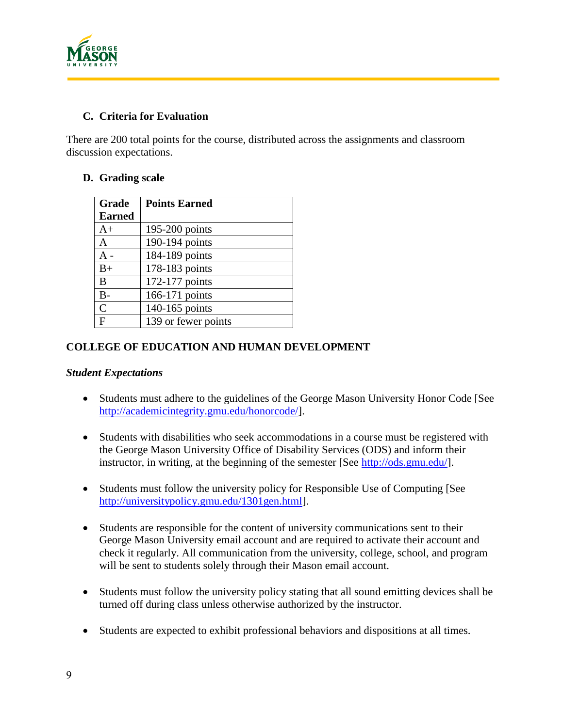# **C. Criteria for Evaluation**

There are 200 total points for the course, distributed across the assignments and classroom discussion expectations.

#### **D. Grading scale**

| Grade         | <b>Points Earned</b> |
|---------------|----------------------|
| <b>Earned</b> |                      |
| $A+$          | 195-200 points       |
| A             | 190-194 points       |
| A -           | 184-189 points       |
| $B+$          | 178-183 points       |
| B             | 172-177 points       |
| $B -$         | 166-171 points       |
| $\mathcal{C}$ | 140-165 points       |
| F             | 139 or fewer points  |

#### **COLLEGE OF EDUCATION AND HUMAN DEVELOPMENT**

#### *Student Expectations*

- Students must adhere to the guidelines of the George Mason University Honor Code [See [http://academicintegrity.gmu.edu/honorcode/\]](http://academicintegrity.gmu.edu/honorcode/).
- Students with disabilities who seek accommodations in a course must be registered with the George Mason University Office of Disability Services (ODS) and inform their instructor, in writing, at the beginning of the semester [See [http://ods.gmu.edu/\]](http://ods.gmu.edu/).
- Students must follow the university policy for Responsible Use of Computing [See [http://universitypolicy.gmu.edu/1301gen.html\]](http://universitypolicy.gmu.edu/1301gen.html).
- Students are responsible for the content of university communications sent to their George Mason University email account and are required to activate their account and check it regularly. All communication from the university, college, school, and program will be sent to students solely through their Mason email account.
- Students must follow the university policy stating that all sound emitting devices shall be turned off during class unless otherwise authorized by the instructor.
- Students are expected to exhibit professional behaviors and dispositions at all times.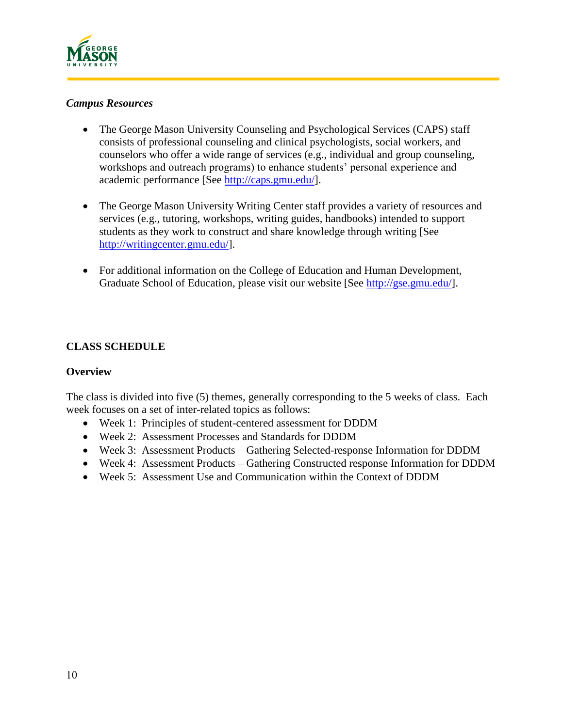

# *Campus Resources*

- The George Mason University Counseling and Psychological Services (CAPS) staff consists of professional counseling and clinical psychologists, social workers, and counselors who offer a wide range of services (e.g., individual and group counseling, workshops and outreach programs) to enhance students' personal experience and academic performance [See [http://caps.gmu.edu/\]](http://caps.gmu.edu/).
- The George Mason University Writing Center staff provides a variety of resources and services (e.g., tutoring, workshops, writing guides, handbooks) intended to support students as they work to construct and share knowledge through writing [See [http://writingcenter.gmu.edu/\]](http://writingcenter.gmu.edu/).
- For additional information on the College of Education and Human Development, Graduate School of Education, please visit our website [See [http://gse.gmu.edu/\]](http://gse.gmu.edu/).

# **CLASS SCHEDULE**

#### **Overview**

The class is divided into five (5) themes, generally corresponding to the 5 weeks of class. Each week focuses on a set of inter-related topics as follows:

- Week 1: Principles of student-centered assessment for DDDM
- Week 2: Assessment Processes and Standards for DDDM
- Week 3: Assessment Products Gathering Selected-response Information for DDDM
- Week 4: Assessment Products Gathering Constructed response Information for DDDM
- Week 5: Assessment Use and Communication within the Context of DDDM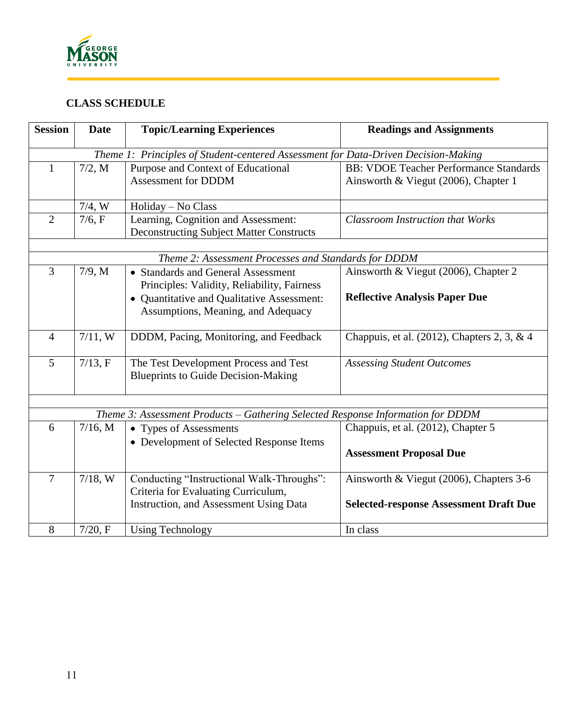

# **CLASS SCHEDULE**

| <b>Session</b> | <b>Date</b>                                                                                                                                                                     | <b>Topic/Learning Experiences</b>                                                                                          | <b>Readings and Assignments</b>                                                          |  |  |  |  |
|----------------|---------------------------------------------------------------------------------------------------------------------------------------------------------------------------------|----------------------------------------------------------------------------------------------------------------------------|------------------------------------------------------------------------------------------|--|--|--|--|
|                | Theme 1: Principles of Student-centered Assessment for Data-Driven Decision-Making                                                                                              |                                                                                                                            |                                                                                          |  |  |  |  |
| $\mathbf{1}$   | 7/2, M                                                                                                                                                                          | Purpose and Context of Educational<br><b>Assessment for DDDM</b>                                                           | <b>BB: VDOE Teacher Performance Standards</b><br>Ainsworth & Viegut (2006), Chapter 1    |  |  |  |  |
|                | 7/4, W                                                                                                                                                                          | Holiday - No Class                                                                                                         |                                                                                          |  |  |  |  |
| $\overline{2}$ | 7/6, F                                                                                                                                                                          | Learning, Cognition and Assessment:<br><b>Deconstructing Subject Matter Constructs</b>                                     | <b>Classroom Instruction that Works</b>                                                  |  |  |  |  |
|                |                                                                                                                                                                                 | Theme 2: Assessment Processes and Standards for DDDM                                                                       |                                                                                          |  |  |  |  |
| 3              | 7/9, M<br>• Standards and General Assessment<br>Principles: Validity, Reliability, Fairness<br>• Quantitative and Qualitative Assessment:<br>Assumptions, Meaning, and Adequacy |                                                                                                                            | Ainsworth & Viegut (2006), Chapter 2<br><b>Reflective Analysis Paper Due</b>             |  |  |  |  |
| $\overline{4}$ | 7/11, W                                                                                                                                                                         | DDDM, Pacing, Monitoring, and Feedback                                                                                     | Chappuis, et al. $(2012)$ , Chapters 2, 3, & 4                                           |  |  |  |  |
| 5              | 7/13, F                                                                                                                                                                         | The Test Development Process and Test<br><b>Blueprints to Guide Decision-Making</b>                                        | <b>Assessing Student Outcomes</b>                                                        |  |  |  |  |
|                |                                                                                                                                                                                 |                                                                                                                            |                                                                                          |  |  |  |  |
|                |                                                                                                                                                                                 | Theme 3: Assessment Products - Gathering Selected Response Information for DDDM                                            |                                                                                          |  |  |  |  |
| 6              | $7/16$ , M                                                                                                                                                                      | • Types of Assessments<br>• Development of Selected Response Items                                                         | Chappuis, et al. (2012), Chapter 5<br><b>Assessment Proposal Due</b>                     |  |  |  |  |
| $\overline{7}$ | $7/18$ , W                                                                                                                                                                      | Conducting "Instructional Walk-Throughs":<br>Criteria for Evaluating Curriculum,<br>Instruction, and Assessment Using Data | Ainsworth & Viegut (2006), Chapters 3-6<br><b>Selected-response Assessment Draft Due</b> |  |  |  |  |
| 8              | $7/20$ , F                                                                                                                                                                      | <b>Using Technology</b>                                                                                                    | In class                                                                                 |  |  |  |  |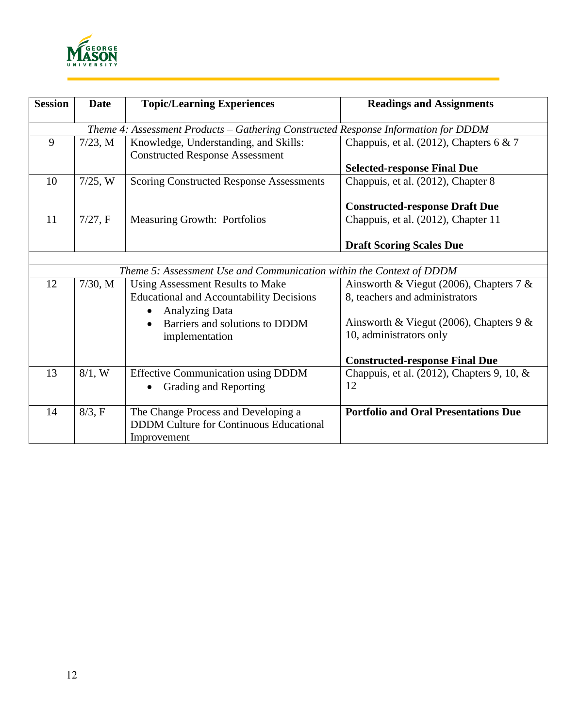

| <b>Session</b> | <b>Date</b>                                                                        | <b>Topic/Learning Experiences</b>                                               | <b>Readings and Assignments</b>               |  |  |  |
|----------------|------------------------------------------------------------------------------------|---------------------------------------------------------------------------------|-----------------------------------------------|--|--|--|
|                | Theme 4: Assessment Products – Gathering Constructed Response Information for DDDM |                                                                                 |                                               |  |  |  |
| 9              | $7/23$ , M                                                                         | Knowledge, Understanding, and Skills:<br><b>Constructed Response Assessment</b> | Chappuis, et al. (2012), Chapters 6 & 7       |  |  |  |
|                |                                                                                    |                                                                                 | <b>Selected-response Final Due</b>            |  |  |  |
| 10             | $7/25$ , W                                                                         | <b>Scoring Constructed Response Assessments</b>                                 | Chappuis, et al. (2012), Chapter 8            |  |  |  |
|                |                                                                                    |                                                                                 | <b>Constructed-response Draft Due</b>         |  |  |  |
| 11             | 7/27, F                                                                            | <b>Measuring Growth: Portfolios</b>                                             | Chappuis, et al. (2012), Chapter 11           |  |  |  |
|                |                                                                                    |                                                                                 | <b>Draft Scoring Scales Due</b>               |  |  |  |
|                |                                                                                    |                                                                                 |                                               |  |  |  |
|                |                                                                                    | Theme 5: Assessment Use and Communication within the Context of DDDM            |                                               |  |  |  |
| 12             | 7/30, M                                                                            | Using Assessment Results to Make                                                | Ainsworth & Viegut (2006), Chapters 7 &       |  |  |  |
|                |                                                                                    | <b>Educational and Accountability Decisions</b>                                 | 8, teachers and administrators                |  |  |  |
|                |                                                                                    | <b>Analyzing Data</b>                                                           |                                               |  |  |  |
|                |                                                                                    | Barriers and solutions to DDDM                                                  | Ainsworth & Viegut (2006), Chapters 9 &       |  |  |  |
|                |                                                                                    | implementation                                                                  | 10, administrators only                       |  |  |  |
|                |                                                                                    |                                                                                 | <b>Constructed-response Final Due</b>         |  |  |  |
| 13             | 8/1, W                                                                             | <b>Effective Communication using DDDM</b>                                       | Chappuis, et al. $(2012)$ , Chapters 9, 10, & |  |  |  |
|                |                                                                                    | Grading and Reporting<br>$\bullet$                                              | 12                                            |  |  |  |
| 14             | 8/3, F                                                                             | The Change Process and Developing a                                             | <b>Portfolio and Oral Presentations Due</b>   |  |  |  |
|                |                                                                                    | <b>DDDM</b> Culture for Continuous Educational                                  |                                               |  |  |  |
|                |                                                                                    | Improvement                                                                     |                                               |  |  |  |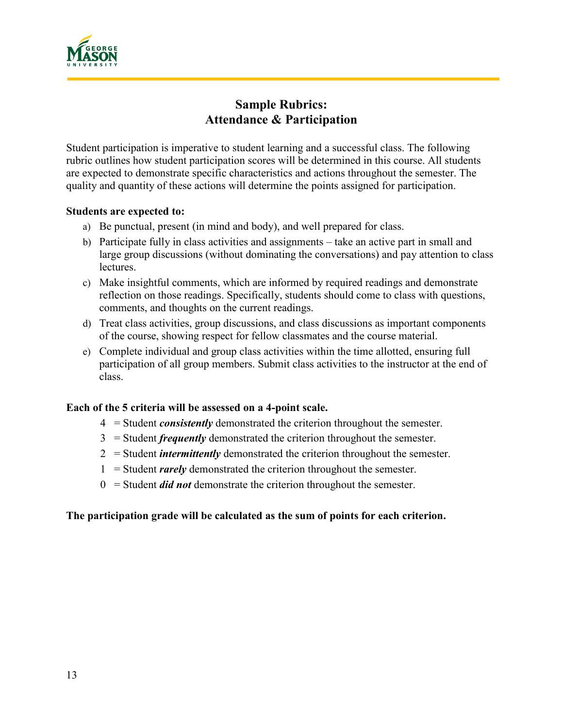

# **Sample Rubrics: Attendance & Participation**

Student participation is imperative to student learning and a successful class. The following rubric outlines how student participation scores will be determined in this course. All students are expected to demonstrate specific characteristics and actions throughout the semester. The quality and quantity of these actions will determine the points assigned for participation.

#### **Students are expected to:**

- a) Be punctual, present (in mind and body), and well prepared for class.
- b) Participate fully in class activities and assignments take an active part in small and large group discussions (without dominating the conversations) and pay attention to class **lectures**
- c) Make insightful comments, which are informed by required readings and demonstrate reflection on those readings. Specifically, students should come to class with questions, comments, and thoughts on the current readings.
- d) Treat class activities, group discussions, and class discussions as important components of the course, showing respect for fellow classmates and the course material.
- e) Complete individual and group class activities within the time allotted, ensuring full participation of all group members. Submit class activities to the instructor at the end of class.

#### **Each of the 5 criteria will be assessed on a 4-point scale.**

- 4 = Student *consistently* demonstrated the criterion throughout the semester.
- 3 = Student *frequently* demonstrated the criterion throughout the semester.
- 2 = Student *intermittently* demonstrated the criterion throughout the semester.
- 1 = Student *rarely* demonstrated the criterion throughout the semester.
- 0 = Student *did not* demonstrate the criterion throughout the semester.

# **The participation grade will be calculated as the sum of points for each criterion.**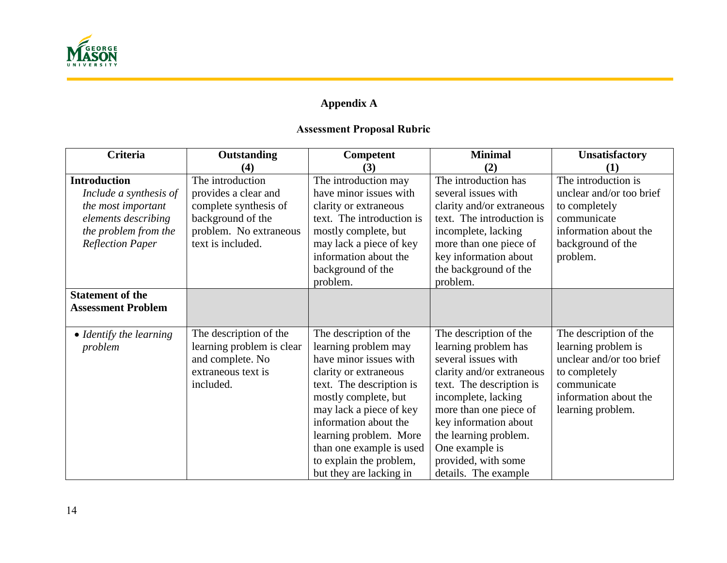

# **Appendix A**

# **Assessment Proposal Rubric**

| Criteria                                                                                                                                      | Outstanding                                                                                                                           | <b>Competent</b>                                                                                                                                                                                                                                                                                                      | <b>Minimal</b>                                                                                                                                                                                                                                                                                     | <b>Unsatisfactory</b>                                                                                                                                   |
|-----------------------------------------------------------------------------------------------------------------------------------------------|---------------------------------------------------------------------------------------------------------------------------------------|-----------------------------------------------------------------------------------------------------------------------------------------------------------------------------------------------------------------------------------------------------------------------------------------------------------------------|----------------------------------------------------------------------------------------------------------------------------------------------------------------------------------------------------------------------------------------------------------------------------------------------------|---------------------------------------------------------------------------------------------------------------------------------------------------------|
|                                                                                                                                               | (4)                                                                                                                                   | (3)                                                                                                                                                                                                                                                                                                                   | (2)                                                                                                                                                                                                                                                                                                | $\bf(1)$                                                                                                                                                |
| <b>Introduction</b><br>Include a synthesis of<br>the most important<br>elements describing<br>the problem from the<br><b>Reflection Paper</b> | The introduction<br>provides a clear and<br>complete synthesis of<br>background of the<br>problem. No extraneous<br>text is included. | The introduction may<br>have minor issues with<br>clarity or extraneous<br>text. The introduction is<br>mostly complete, but<br>may lack a piece of key<br>information about the<br>background of the<br>problem.                                                                                                     | The introduction has<br>several issues with<br>clarity and/or extraneous<br>text. The introduction is<br>incomplete, lacking<br>more than one piece of<br>key information about<br>the background of the<br>problem.                                                                               | The introduction is<br>unclear and/or too brief<br>to completely<br>communicate<br>information about the<br>background of the<br>problem.               |
| <b>Statement of the</b>                                                                                                                       |                                                                                                                                       |                                                                                                                                                                                                                                                                                                                       |                                                                                                                                                                                                                                                                                                    |                                                                                                                                                         |
| <b>Assessment Problem</b>                                                                                                                     |                                                                                                                                       |                                                                                                                                                                                                                                                                                                                       |                                                                                                                                                                                                                                                                                                    |                                                                                                                                                         |
| $\bullet$ Identify the learning<br>problem                                                                                                    | The description of the<br>learning problem is clear<br>and complete. No<br>extraneous text is<br>included.                            | The description of the<br>learning problem may<br>have minor issues with<br>clarity or extraneous<br>text. The description is<br>mostly complete, but<br>may lack a piece of key<br>information about the<br>learning problem. More<br>than one example is used<br>to explain the problem,<br>but they are lacking in | The description of the<br>learning problem has<br>several issues with<br>clarity and/or extraneous<br>text. The description is<br>incomplete, lacking<br>more than one piece of<br>key information about<br>the learning problem.<br>One example is<br>provided, with some<br>details. The example | The description of the<br>learning problem is<br>unclear and/or too brief<br>to completely<br>communicate<br>information about the<br>learning problem. |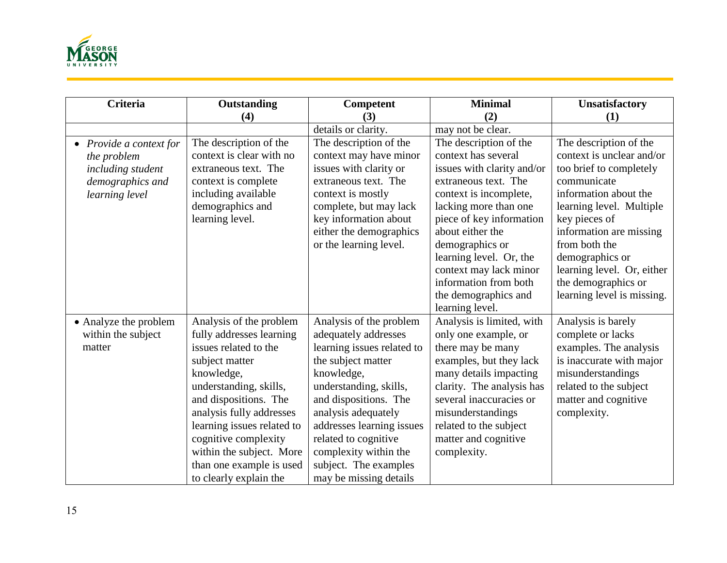

| <b>Criteria</b>                                                                                              | Outstanding                                                                                                                                                                                                                                                                                                                         | <b>Competent</b>                                                                                                                                                                                                                                                                                                             | <b>Minimal</b>                                                                                                                                                                                                                                                                                                                                     | Unsatisfactory                                                                                                                                                                                                                                                                                                        |
|--------------------------------------------------------------------------------------------------------------|-------------------------------------------------------------------------------------------------------------------------------------------------------------------------------------------------------------------------------------------------------------------------------------------------------------------------------------|------------------------------------------------------------------------------------------------------------------------------------------------------------------------------------------------------------------------------------------------------------------------------------------------------------------------------|----------------------------------------------------------------------------------------------------------------------------------------------------------------------------------------------------------------------------------------------------------------------------------------------------------------------------------------------------|-----------------------------------------------------------------------------------------------------------------------------------------------------------------------------------------------------------------------------------------------------------------------------------------------------------------------|
|                                                                                                              | (4)                                                                                                                                                                                                                                                                                                                                 | (3)                                                                                                                                                                                                                                                                                                                          | (2)                                                                                                                                                                                                                                                                                                                                                | (1)                                                                                                                                                                                                                                                                                                                   |
|                                                                                                              |                                                                                                                                                                                                                                                                                                                                     | details or clarity.                                                                                                                                                                                                                                                                                                          | may not be clear.                                                                                                                                                                                                                                                                                                                                  |                                                                                                                                                                                                                                                                                                                       |
| Provide a context for<br>$\bullet$<br>the problem<br>including student<br>demographics and<br>learning level | The description of the<br>context is clear with no<br>extraneous text. The<br>context is complete<br>including available<br>demographics and<br>learning level.                                                                                                                                                                     | The description of the<br>context may have minor<br>issues with clarity or<br>extraneous text. The<br>context is mostly<br>complete, but may lack<br>key information about<br>either the demographics<br>or the learning level.                                                                                              | The description of the<br>context has several<br>issues with clarity and/or<br>extraneous text. The<br>context is incomplete,<br>lacking more than one<br>piece of key information<br>about either the<br>demographics or<br>learning level. Or, the<br>context may lack minor<br>information from both<br>the demographics and<br>learning level. | The description of the<br>context is unclear and/or<br>too brief to completely<br>communicate<br>information about the<br>learning level. Multiple<br>key pieces of<br>information are missing<br>from both the<br>demographics or<br>learning level. Or, either<br>the demographics or<br>learning level is missing. |
| • Analyze the problem<br>within the subject<br>matter                                                        | Analysis of the problem<br>fully addresses learning<br>issues related to the<br>subject matter<br>knowledge,<br>understanding, skills,<br>and dispositions. The<br>analysis fully addresses<br>learning issues related to<br>cognitive complexity<br>within the subject. More<br>than one example is used<br>to clearly explain the | Analysis of the problem<br>adequately addresses<br>learning issues related to<br>the subject matter<br>knowledge,<br>understanding, skills,<br>and dispositions. The<br>analysis adequately<br>addresses learning issues<br>related to cognitive<br>complexity within the<br>subject. The examples<br>may be missing details | Analysis is limited, with<br>only one example, or<br>there may be many<br>examples, but they lack<br>many details impacting<br>clarity. The analysis has<br>several inaccuracies or<br>misunderstandings<br>related to the subject<br>matter and cognitive<br>complexity.                                                                          | Analysis is barely<br>complete or lacks<br>examples. The analysis<br>is inaccurate with major<br>misunderstandings<br>related to the subject<br>matter and cognitive<br>complexity.                                                                                                                                   |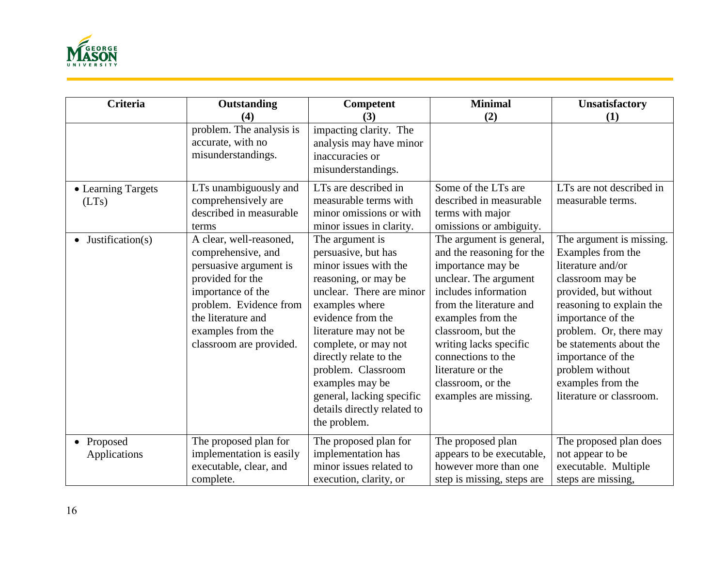

| <b>Criteria</b>                       | Outstanding                                                                                                                                                                                                      | <b>Competent</b>                                                                                                                                                                                                                                                                                                                                           | <b>Minimal</b>                                                                                                                                                                                                                                                                                                       | Unsatisfactory                                                                                                                                                                                                                                                                                                 |
|---------------------------------------|------------------------------------------------------------------------------------------------------------------------------------------------------------------------------------------------------------------|------------------------------------------------------------------------------------------------------------------------------------------------------------------------------------------------------------------------------------------------------------------------------------------------------------------------------------------------------------|----------------------------------------------------------------------------------------------------------------------------------------------------------------------------------------------------------------------------------------------------------------------------------------------------------------------|----------------------------------------------------------------------------------------------------------------------------------------------------------------------------------------------------------------------------------------------------------------------------------------------------------------|
|                                       | (4)                                                                                                                                                                                                              | (3)                                                                                                                                                                                                                                                                                                                                                        | (2)                                                                                                                                                                                                                                                                                                                  | (1)                                                                                                                                                                                                                                                                                                            |
|                                       | problem. The analysis is<br>accurate, with no<br>misunderstandings.                                                                                                                                              | impacting clarity. The<br>analysis may have minor<br>inaccuracies or<br>misunderstandings.                                                                                                                                                                                                                                                                 |                                                                                                                                                                                                                                                                                                                      |                                                                                                                                                                                                                                                                                                                |
| • Learning Targets<br>(LTs)           | LTs unambiguously and<br>comprehensively are<br>described in measurable<br>terms                                                                                                                                 | LTs are described in<br>measurable terms with<br>minor omissions or with<br>minor issues in clarity.                                                                                                                                                                                                                                                       | Some of the LTs are<br>described in measurable<br>terms with major<br>omissions or ambiguity.                                                                                                                                                                                                                        | LTs are not described in<br>measurable terms.                                                                                                                                                                                                                                                                  |
| $\bullet$ Justification(s)            | A clear, well-reasoned,<br>comprehensive, and<br>persuasive argument is<br>provided for the<br>importance of the<br>problem. Evidence from<br>the literature and<br>examples from the<br>classroom are provided. | The argument is<br>persuasive, but has<br>minor issues with the<br>reasoning, or may be<br>unclear. There are minor<br>examples where<br>evidence from the<br>literature may not be<br>complete, or may not<br>directly relate to the<br>problem. Classroom<br>examples may be<br>general, lacking specific<br>details directly related to<br>the problem. | The argument is general,<br>and the reasoning for the<br>importance may be<br>unclear. The argument<br>includes information<br>from the literature and<br>examples from the<br>classroom, but the<br>writing lacks specific<br>connections to the<br>literature or the<br>classroom, or the<br>examples are missing. | The argument is missing.<br>Examples from the<br>literature and/or<br>classroom may be<br>provided, but without<br>reasoning to explain the<br>importance of the<br>problem. Or, there may<br>be statements about the<br>importance of the<br>problem without<br>examples from the<br>literature or classroom. |
| Proposed<br>$\bullet$<br>Applications | The proposed plan for<br>implementation is easily<br>executable, clear, and<br>complete.                                                                                                                         | The proposed plan for<br>implementation has<br>minor issues related to<br>execution, clarity, or                                                                                                                                                                                                                                                           | The proposed plan<br>appears to be executable,<br>however more than one<br>step is missing, steps are                                                                                                                                                                                                                | The proposed plan does<br>not appear to be<br>executable. Multiple<br>steps are missing,                                                                                                                                                                                                                       |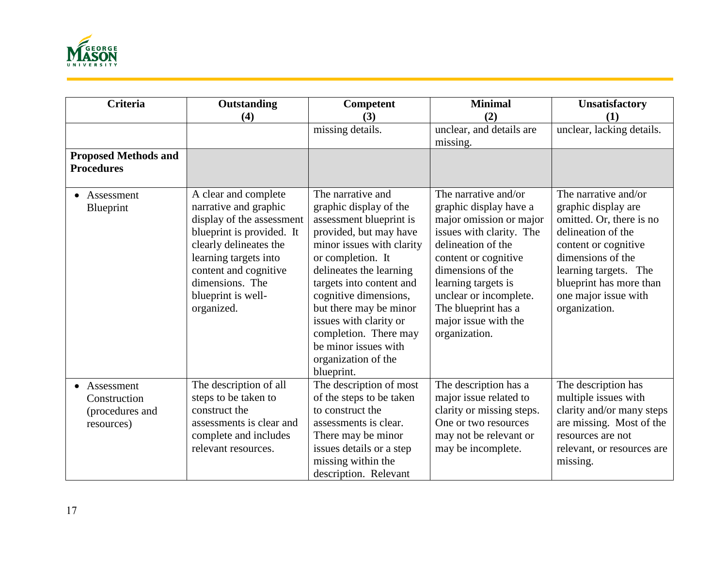

| Criteria                    | Outstanding                              | <b>Competent</b>                                | <b>Minimal</b>                                | <b>Unsatisfactory</b>                           |
|-----------------------------|------------------------------------------|-------------------------------------------------|-----------------------------------------------|-------------------------------------------------|
|                             | (4)                                      | (3)                                             | (2)                                           | (1)                                             |
|                             |                                          | missing details.                                | unclear, and details are                      | unclear, lacking details.                       |
|                             |                                          |                                                 | missing.                                      |                                                 |
| <b>Proposed Methods and</b> |                                          |                                                 |                                               |                                                 |
| <b>Procedures</b>           |                                          |                                                 |                                               |                                                 |
|                             |                                          |                                                 |                                               |                                                 |
| Assessment<br>$\bullet$     | A clear and complete                     | The narrative and                               | The narrative and/or                          | The narrative and/or                            |
| Blueprint                   | narrative and graphic                    | graphic display of the                          | graphic display have a                        | graphic display are                             |
|                             | display of the assessment                | assessment blueprint is                         | major omission or major                       | omitted. Or, there is no                        |
|                             | blueprint is provided. It                | provided, but may have                          | issues with clarity. The                      | delineation of the                              |
|                             | clearly delineates the                   | minor issues with clarity                       | delineation of the                            | content or cognitive                            |
|                             | learning targets into                    | or completion. It                               | content or cognitive<br>dimensions of the     | dimensions of the                               |
|                             | content and cognitive<br>dimensions. The | delineates the learning                         |                                               | learning targets. The                           |
|                             | blueprint is well-                       | targets into content and                        | learning targets is                           | blueprint has more than<br>one major issue with |
|                             | organized.                               | cognitive dimensions,<br>but there may be minor | unclear or incomplete.<br>The blueprint has a | organization.                                   |
|                             |                                          | issues with clarity or                          | major issue with the                          |                                                 |
|                             |                                          | completion. There may                           | organization.                                 |                                                 |
|                             |                                          | be minor issues with                            |                                               |                                                 |
|                             |                                          | organization of the                             |                                               |                                                 |
|                             |                                          | blueprint.                                      |                                               |                                                 |
| Assessment<br>$\bullet$     | The description of all                   | The description of most                         | The description has a                         | The description has                             |
| Construction                | steps to be taken to                     | of the steps to be taken                        | major issue related to                        | multiple issues with                            |
| (procedures and             | construct the                            | to construct the                                | clarity or missing steps.                     | clarity and/or many steps                       |
| resources)                  | assessments is clear and                 | assessments is clear.                           | One or two resources                          | are missing. Most of the                        |
|                             | complete and includes                    | There may be minor                              | may not be relevant or                        | resources are not                               |
|                             | relevant resources.                      | issues details or a step                        | may be incomplete.                            | relevant, or resources are                      |
|                             |                                          | missing within the                              |                                               | missing.                                        |
|                             |                                          | description. Relevant                           |                                               |                                                 |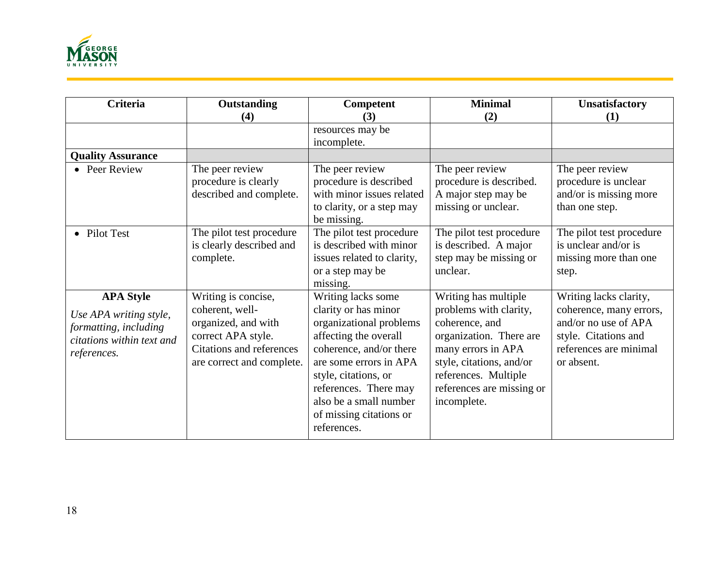

| <b>Criteria</b>                                                                                                 | <b>Outstanding</b><br>(4)                                                                                                                    | Competent<br>(3)                                                                                                                                                                                                                                                         | <b>Minimal</b><br>(2)                                                                                                                                                                                             | <b>Unsatisfactory</b><br>(1)                                                                                                              |
|-----------------------------------------------------------------------------------------------------------------|----------------------------------------------------------------------------------------------------------------------------------------------|--------------------------------------------------------------------------------------------------------------------------------------------------------------------------------------------------------------------------------------------------------------------------|-------------------------------------------------------------------------------------------------------------------------------------------------------------------------------------------------------------------|-------------------------------------------------------------------------------------------------------------------------------------------|
|                                                                                                                 |                                                                                                                                              | resources may be<br>incomplete.                                                                                                                                                                                                                                          |                                                                                                                                                                                                                   |                                                                                                                                           |
| <b>Quality Assurance</b>                                                                                        |                                                                                                                                              |                                                                                                                                                                                                                                                                          |                                                                                                                                                                                                                   |                                                                                                                                           |
| Peer Review<br>$\bullet$                                                                                        | The peer review<br>procedure is clearly<br>described and complete.                                                                           | The peer review<br>procedure is described<br>with minor issues related<br>to clarity, or a step may<br>be missing.                                                                                                                                                       | The peer review<br>procedure is described.<br>A major step may be<br>missing or unclear.                                                                                                                          | The peer review<br>procedure is unclear<br>and/or is missing more<br>than one step.                                                       |
| • Pilot Test                                                                                                    | The pilot test procedure<br>is clearly described and<br>complete.                                                                            | The pilot test procedure<br>is described with minor<br>issues related to clarity,<br>or a step may be<br>missing.                                                                                                                                                        | The pilot test procedure<br>is described. A major<br>step may be missing or<br>unclear.                                                                                                                           | The pilot test procedure<br>is unclear and/or is<br>missing more than one<br>step.                                                        |
| <b>APA Style</b><br>Use APA writing style,<br>formatting, including<br>citations within text and<br>references. | Writing is concise,<br>coherent, well-<br>organized, and with<br>correct APA style.<br>Citations and references<br>are correct and complete. | Writing lacks some<br>clarity or has minor<br>organizational problems<br>affecting the overall<br>coherence, and/or there<br>are some errors in APA<br>style, citations, or<br>references. There may<br>also be a small number<br>of missing citations or<br>references. | Writing has multiple<br>problems with clarity,<br>coherence, and<br>organization. There are<br>many errors in APA<br>style, citations, and/or<br>references. Multiple<br>references are missing or<br>incomplete. | Writing lacks clarity,<br>coherence, many errors,<br>and/or no use of APA<br>style. Citations and<br>references are minimal<br>or absent. |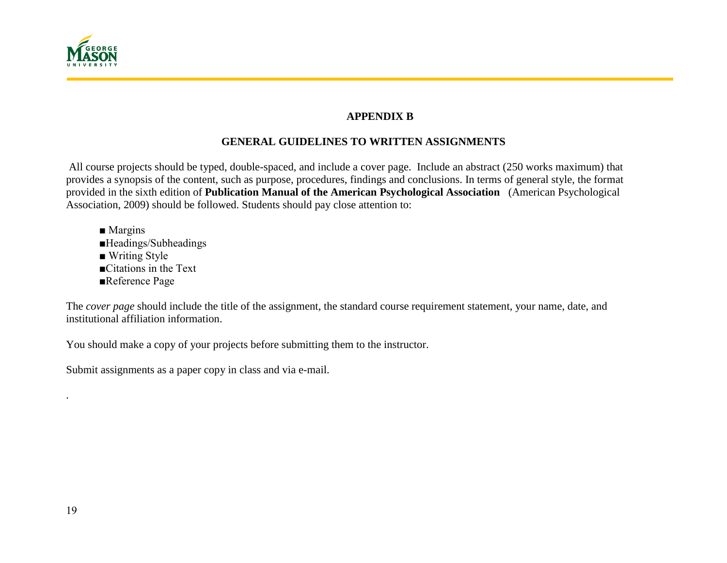

# **APPENDIX B**

# **GENERAL GUIDELINES TO WRITTEN ASSIGNMENTS**

All course projects should be typed, double-spaced, and include a cover page. Include an abstract (250 works maximum) that provides a synopsis of the content, such as purpose, procedures, findings and conclusions. In terms of general style, the format provided in the sixth edition of **Publication Manual of the American Psychological Association** (American Psychological Association, 2009) should be followed. Students should pay close attention to:

- Margins
- ■Headings/Subheadings
- Writing Style
- ■Citations in the Text
- ■Reference Page

The *cover page* should include the title of the assignment, the standard course requirement statement, your name, date, and institutional affiliation information.

You should make a copy of your projects before submitting them to the instructor.

Submit assignments as a paper copy in class and via e-mail.

.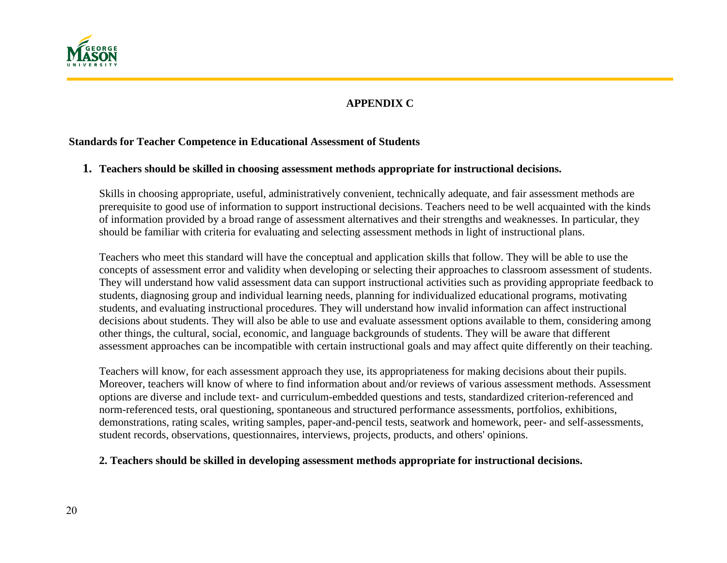

# **APPENDIX C**

#### **Standards for Teacher Competence in Educational Assessment of Students**

## **1. Teachers should be skilled in choosing assessment methods appropriate for instructional decisions.**

Skills in choosing appropriate, useful, administratively convenient, technically adequate, and fair assessment methods are prerequisite to good use of information to support instructional decisions. Teachers need to be well acquainted with the kinds of information provided by a broad range of assessment alternatives and their strengths and weaknesses. In particular, they should be familiar with criteria for evaluating and selecting assessment methods in light of instructional plans.

Teachers who meet this standard will have the conceptual and application skills that follow. They will be able to use the concepts of assessment error and validity when developing or selecting their approaches to classroom assessment of students. They will understand how valid assessment data can support instructional activities such as providing appropriate feedback to students, diagnosing group and individual learning needs, planning for individualized educational programs, motivating students, and evaluating instructional procedures. They will understand how invalid information can affect instructional decisions about students. They will also be able to use and evaluate assessment options available to them, considering among other things, the cultural, social, economic, and language backgrounds of students. They will be aware that different assessment approaches can be incompatible with certain instructional goals and may affect quite differently on their teaching.

Teachers will know, for each assessment approach they use, its appropriateness for making decisions about their pupils. Moreover, teachers will know of where to find information about and/or reviews of various assessment methods. Assessment options are diverse and include text- and curriculum-embedded questions and tests, standardized criterion-referenced and norm-referenced tests, oral questioning, spontaneous and structured performance assessments, portfolios, exhibitions, demonstrations, rating scales, writing samples, paper-and-pencil tests, seatwork and homework, peer- and self-assessments, student records, observations, questionnaires, interviews, projects, products, and others' opinions.

#### **2. Teachers should be skilled in developing assessment methods appropriate for instructional decisions.**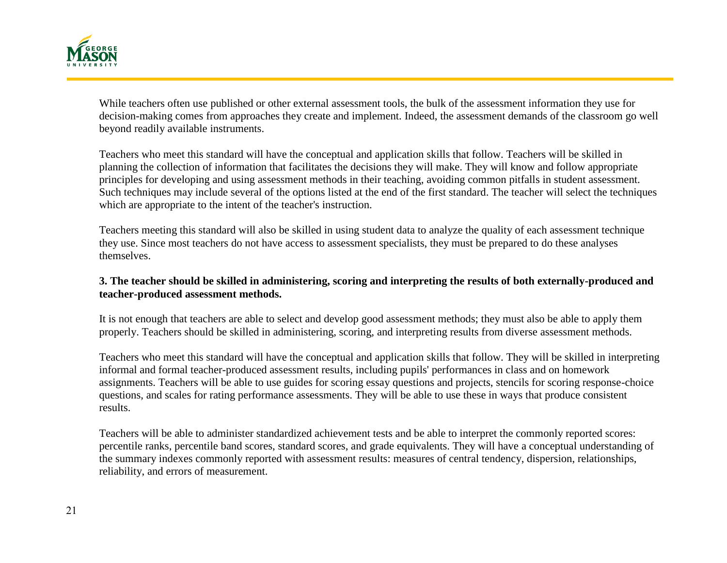

While teachers often use published or other external assessment tools, the bulk of the assessment information they use for decision-making comes from approaches they create and implement. Indeed, the assessment demands of the classroom go well beyond readily available instruments.

Teachers who meet this standard will have the conceptual and application skills that follow. Teachers will be skilled in planning the collection of information that facilitates the decisions they will make. They will know and follow appropriate principles for developing and using assessment methods in their teaching, avoiding common pitfalls in student assessment. Such techniques may include several of the options listed at the end of the first standard. The teacher will select the techniques which are appropriate to the intent of the teacher's instruction.

Teachers meeting this standard will also be skilled in using student data to analyze the quality of each assessment technique they use. Since most teachers do not have access to assessment specialists, they must be prepared to do these analyses themselves.

## **3. The teacher should be skilled in administering, scoring and interpreting the results of both externally-produced and teacher-produced assessment methods.**

It is not enough that teachers are able to select and develop good assessment methods; they must also be able to apply them properly. Teachers should be skilled in administering, scoring, and interpreting results from diverse assessment methods.

Teachers who meet this standard will have the conceptual and application skills that follow. They will be skilled in interpreting informal and formal teacher-produced assessment results, including pupils' performances in class and on homework assignments. Teachers will be able to use guides for scoring essay questions and projects, stencils for scoring response-choice questions, and scales for rating performance assessments. They will be able to use these in ways that produce consistent results.

Teachers will be able to administer standardized achievement tests and be able to interpret the commonly reported scores: percentile ranks, percentile band scores, standard scores, and grade equivalents. They will have a conceptual understanding of the summary indexes commonly reported with assessment results: measures of central tendency, dispersion, relationships, reliability, and errors of measurement.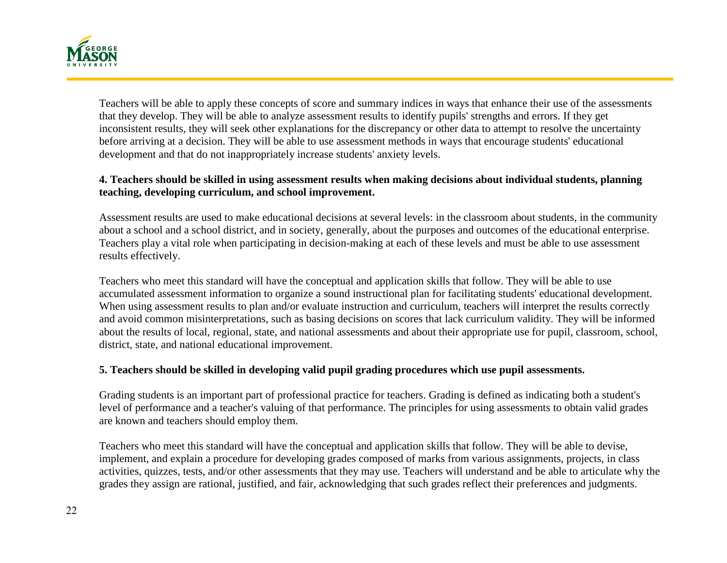

Teachers will be able to apply these concepts of score and summary indices in ways that enhance their use of the assessments that they develop. They will be able to analyze assessment results to identify pupils' strengths and errors. If they get inconsistent results, they will seek other explanations for the discrepancy or other data to attempt to resolve the uncertainty before arriving at a decision. They will be able to use assessment methods in ways that encourage students' educational development and that do not inappropriately increase students' anxiety levels.

#### **4. Teachers should be skilled in using assessment results when making decisions about individual students, planning teaching, developing curriculum, and school improvement.**

Assessment results are used to make educational decisions at several levels: in the classroom about students, in the community about a school and a school district, and in society, generally, about the purposes and outcomes of the educational enterprise. Teachers play a vital role when participating in decision-making at each of these levels and must be able to use assessment results effectively.

Teachers who meet this standard will have the conceptual and application skills that follow. They will be able to use accumulated assessment information to organize a sound instructional plan for facilitating students' educational development. When using assessment results to plan and/or evaluate instruction and curriculum, teachers will interpret the results correctly and avoid common misinterpretations, such as basing decisions on scores that lack curriculum validity. They will be informed about the results of local, regional, state, and national assessments and about their appropriate use for pupil, classroom, school, district, state, and national educational improvement.

#### **5. Teachers should be skilled in developing valid pupil grading procedures which use pupil assessments.**

Grading students is an important part of professional practice for teachers. Grading is defined as indicating both a student's level of performance and a teacher's valuing of that performance. The principles for using assessments to obtain valid grades are known and teachers should employ them.

Teachers who meet this standard will have the conceptual and application skills that follow. They will be able to devise, implement, and explain a procedure for developing grades composed of marks from various assignments, projects, in class activities, quizzes, tests, and/or other assessments that they may use. Teachers will understand and be able to articulate why the grades they assign are rational, justified, and fair, acknowledging that such grades reflect their preferences and judgments.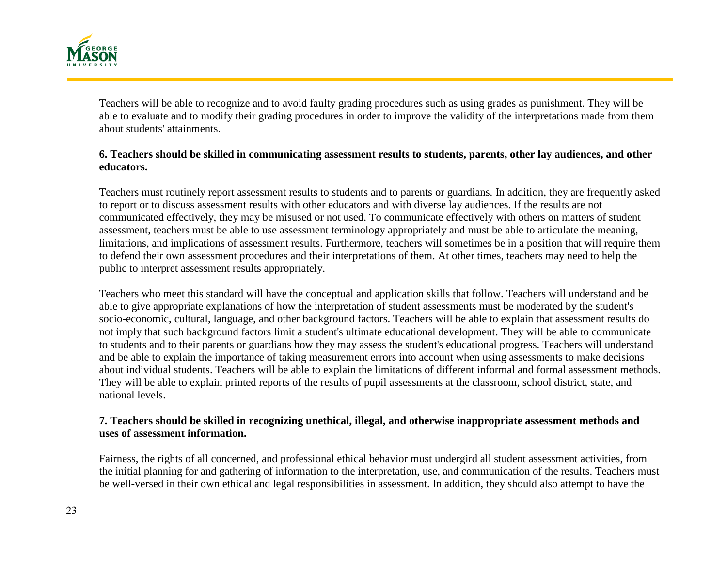

Teachers will be able to recognize and to avoid faulty grading procedures such as using grades as punishment. They will be able to evaluate and to modify their grading procedures in order to improve the validity of the interpretations made from them about students' attainments.

# **6. Teachers should be skilled in communicating assessment results to students, parents, other lay audiences, and other educators.**

Teachers must routinely report assessment results to students and to parents or guardians. In addition, they are frequently asked to report or to discuss assessment results with other educators and with diverse lay audiences. If the results are not communicated effectively, they may be misused or not used. To communicate effectively with others on matters of student assessment, teachers must be able to use assessment terminology appropriately and must be able to articulate the meaning, limitations, and implications of assessment results. Furthermore, teachers will sometimes be in a position that will require them to defend their own assessment procedures and their interpretations of them. At other times, teachers may need to help the public to interpret assessment results appropriately.

Teachers who meet this standard will have the conceptual and application skills that follow. Teachers will understand and be able to give appropriate explanations of how the interpretation of student assessments must be moderated by the student's socio-economic, cultural, language, and other background factors. Teachers will be able to explain that assessment results do not imply that such background factors limit a student's ultimate educational development. They will be able to communicate to students and to their parents or guardians how they may assess the student's educational progress. Teachers will understand and be able to explain the importance of taking measurement errors into account when using assessments to make decisions about individual students. Teachers will be able to explain the limitations of different informal and formal assessment methods. They will be able to explain printed reports of the results of pupil assessments at the classroom, school district, state, and national levels.

#### **7. Teachers should be skilled in recognizing unethical, illegal, and otherwise inappropriate assessment methods and uses of assessment information.**

Fairness, the rights of all concerned, and professional ethical behavior must undergird all student assessment activities, from the initial planning for and gathering of information to the interpretation, use, and communication of the results. Teachers must be well-versed in their own ethical and legal responsibilities in assessment. In addition, they should also attempt to have the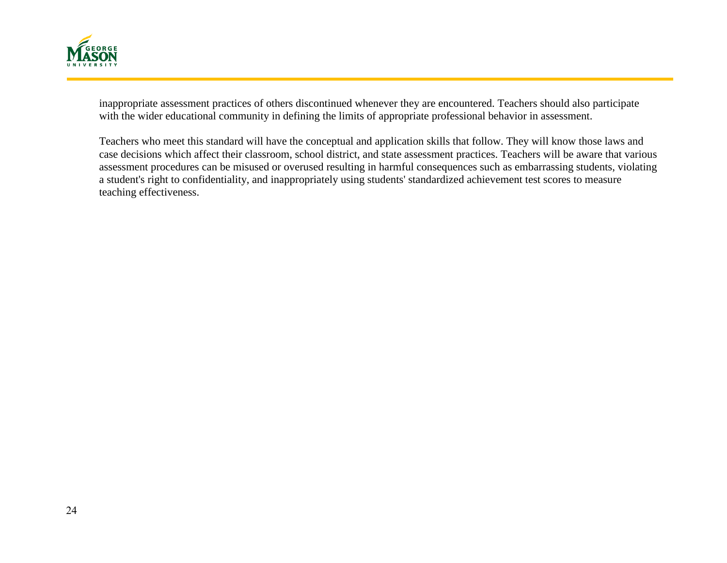

inappropriate assessment practices of others discontinued whenever they are encountered. Teachers should also participate with the wider educational community in defining the limits of appropriate professional behavior in assessment.

Teachers who meet this standard will have the conceptual and application skills that follow. They will know those laws and case decisions which affect their classroom, school district, and state assessment practices. Teachers will be aware that various assessment procedures can be misused or overused resulting in harmful consequences such as embarrassing students, violating a student's right to confidentiality, and inappropriately using students' standardized achievement test scores to measure teaching effectiveness.